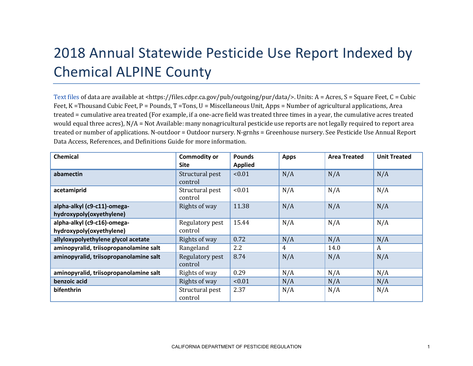## 2018 Annual Statewide Pesticide Use Report Indexed by Chemical ALPINE County

[Text files](https://files.cdpr.ca.gov/pub/outgoing/pur/data/) of data are available at <https://files.cdpr.ca.gov/pub/outgoing/pur/data/>. Units: A = Acres, S = Square Feet, C = Cubic Feet, K = Thousand Cubic Feet, P = Pounds, T = Tons, U = Miscellaneous Unit, Apps = Number of agricultural applications, Area treated = cumulative area treated (For example, if a one-acre field was treated three times in a year, the cumulative acres treated would equal three acres),  $N/A = Not$  Available: many nonagricultural pesticide use reports are not legally required to report area treated or number of applications. N-outdoor = Outdoor nursery. N-grnhs = Greenhouse nursery. See Pesticide Use Annual Report Data Access, References, and Definitions Guide for more information.

| <b>Chemical</b>                                         | <b>Commodity or</b><br><b>Site</b> | <b>Pounds</b><br><b>Applied</b> | <b>Apps</b> | <b>Area Treated</b> | <b>Unit Treated</b> |
|---------------------------------------------------------|------------------------------------|---------------------------------|-------------|---------------------|---------------------|
| abamectin                                               | Structural pest<br>control         | < 0.01                          | N/A         | N/A                 | N/A                 |
| acetamiprid                                             | Structural pest<br>control         | < 0.01                          | N/A         | N/A                 | N/A                 |
| alpha-alkyl (c9-c11)-omega-<br>hydroxypoly(oxyethylene) | Rights of way                      | 11.38                           | N/A         | N/A                 | N/A                 |
| alpha-alkyl (c9-c16)-omega-<br>hydroxypoly(oxyethylene) | Regulatory pest<br>control         | 15.44                           | N/A         | N/A                 | N/A                 |
| allyloxypolyethylene glycol acetate                     | Rights of way                      | 0.72                            | N/A         | N/A                 | N/A                 |
| aminopyralid, triisopropanolamine salt                  | Rangeland                          | $2.2\phantom{0}$                | 4           | 14.0                | A                   |
| aminopyralid, triisopropanolamine salt                  | Regulatory pest<br>control         | 8.74                            | N/A         | N/A                 | N/A                 |
| aminopyralid, triisopropanolamine salt                  | Rights of way                      | 0.29                            | N/A         | N/A                 | N/A                 |
| benzoic acid                                            | Rights of way                      | < 0.01                          | N/A         | N/A                 | N/A                 |
| bifenthrin                                              | Structural pest<br>control         | 2.37                            | N/A         | N/A                 | N/A                 |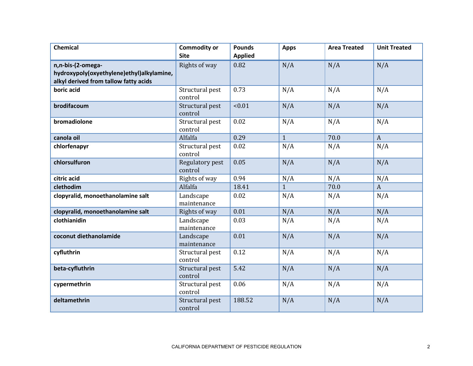| <b>Chemical</b>                           | <b>Commodity or</b><br><b>Site</b> | <b>Pounds</b><br><b>Applied</b> | <b>Apps</b>  | <b>Area Treated</b> | <b>Unit Treated</b> |
|-------------------------------------------|------------------------------------|---------------------------------|--------------|---------------------|---------------------|
|                                           |                                    |                                 |              |                     |                     |
| n,n-bis-(2-omega-                         | Rights of way                      | 0.82                            | N/A          | N/A                 | N/A                 |
| hydroxypoly(oxyethylene)ethyl)alkylamine, |                                    |                                 |              |                     |                     |
| alkyl derived from tallow fatty acids     |                                    |                                 |              |                     |                     |
| boric acid                                | Structural pest<br>control         | 0.73                            | N/A          | N/A                 | N/A                 |
| brodifacoum                               | Structural pest<br>control         | < 0.01                          | N/A          | N/A                 | N/A                 |
| bromadiolone                              | Structural pest<br>control         | 0.02                            | N/A          | N/A                 | N/A                 |
| canola oil                                | Alfalfa                            | 0.29                            | $\mathbf{1}$ | 70.0                | $\mathbf{A}$        |
| chlorfenapyr                              | Structural pest<br>control         | 0.02                            | N/A          | N/A                 | N/A                 |
| chlorsulfuron                             | Regulatory pest<br>control         | 0.05                            | N/A          | N/A                 | N/A                 |
| citric acid                               | Rights of way                      | 0.94                            | N/A          | N/A                 | N/A                 |
| clethodim                                 | Alfalfa                            | 18.41                           | $\mathbf{1}$ | 70.0                | $\boldsymbol{A}$    |
| clopyralid, monoethanolamine salt         | Landscape<br>maintenance           | 0.02                            | N/A          | N/A                 | N/A                 |
| clopyralid, monoethanolamine salt         | Rights of way                      | 0.01                            | N/A          | N/A                 | N/A                 |
| clothianidin                              | Landscape<br>maintenance           | 0.03                            | N/A          | N/A                 | N/A                 |
| coconut diethanolamide                    | Landscape<br>maintenance           | 0.01                            | N/A          | N/A                 | N/A                 |
| cyfluthrin                                | Structural pest<br>control         | 0.12                            | N/A          | N/A                 | N/A                 |
| beta-cyfluthrin                           | Structural pest<br>control         | 5.42                            | N/A          | N/A                 | N/A                 |
| cypermethrin                              | Structural pest<br>control         | 0.06                            | N/A          | N/A                 | N/A                 |
| deltamethrin                              | Structural pest<br>control         | 188.52                          | N/A          | N/A                 | N/A                 |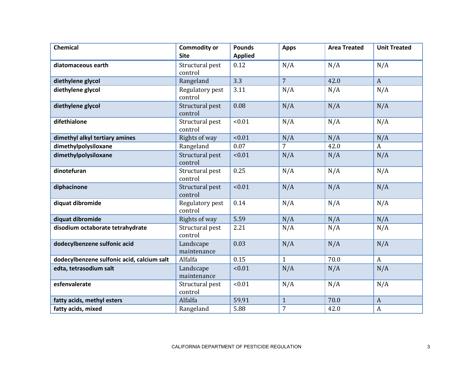| <b>Chemical</b>                            | <b>Commodity or</b><br><b>Site</b> | <b>Pounds</b><br><b>Applied</b> | <b>Apps</b>    | <b>Area Treated</b> | <b>Unit Treated</b> |
|--------------------------------------------|------------------------------------|---------------------------------|----------------|---------------------|---------------------|
|                                            |                                    |                                 |                |                     |                     |
| diatomaceous earth                         | Structural pest<br>control         | 0.12                            | N/A            | N/A                 | N/A                 |
| diethylene glycol                          | Rangeland                          | 3.3                             | $\overline{7}$ | 42.0                | $\overline{A}$      |
| diethylene glycol                          | Regulatory pest<br>control         | 3.11                            | N/A            | N/A                 | N/A                 |
| diethylene glycol                          | Structural pest<br>control         | 0.08                            | N/A            | N/A                 | N/A                 |
| difethialone                               | Structural pest<br>control         | < 0.01                          | N/A            | N/A                 | N/A                 |
| dimethyl alkyl tertiary amines             | Rights of way                      | < 0.01                          | N/A            | N/A                 | N/A                 |
| dimethylpolysiloxane                       | Rangeland                          | 0.07                            | $\overline{7}$ | 42.0                | $\mathbf{A}$        |
| dimethylpolysiloxane                       | Structural pest<br>control         | < 0.01                          | N/A            | N/A                 | N/A                 |
| dinotefuran                                | Structural pest<br>control         | 0.25                            | N/A            | N/A                 | N/A                 |
| diphacinone                                | Structural pest<br>control         | < 0.01                          | N/A            | N/A                 | N/A                 |
| diquat dibromide                           | Regulatory pest<br>control         | 0.14                            | N/A            | N/A                 | N/A                 |
| diquat dibromide                           | Rights of way                      | 5.59                            | N/A            | N/A                 | N/A                 |
| disodium octaborate tetrahydrate           | Structural pest<br>control         | 2.21                            | N/A            | N/A                 | N/A                 |
| dodecylbenzene sulfonic acid               | Landscape<br>maintenance           | 0.03                            | N/A            | N/A                 | N/A                 |
| dodecylbenzene sulfonic acid, calcium salt | Alfalfa                            | 0.15                            | $\mathbf{1}$   | 70.0                | $\boldsymbol{A}$    |
| edta, tetrasodium salt                     | Landscape<br>maintenance           | < 0.01                          | N/A            | N/A                 | N/A                 |
| esfenvalerate                              | Structural pest<br>control         | < 0.01                          | N/A            | N/A                 | N/A                 |
| fatty acids, methyl esters                 | Alfalfa                            | 59.91                           | $\mathbf{1}$   | 70.0                | $\boldsymbol{A}$    |
| fatty acids, mixed                         | Rangeland                          | 5.88                            | $\overline{7}$ | 42.0                | $\boldsymbol{A}$    |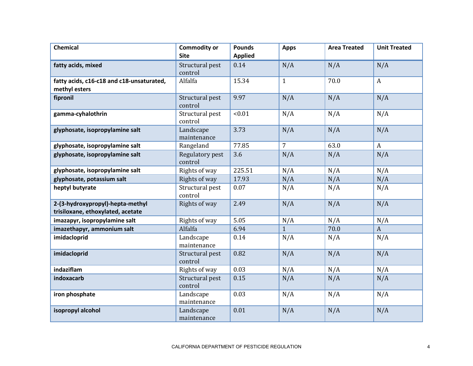| <b>Chemical</b>                                                       | <b>Commodity or</b><br><b>Site</b> | <b>Pounds</b><br><b>Applied</b> | <b>Apps</b>    | <b>Area Treated</b> | <b>Unit Treated</b> |
|-----------------------------------------------------------------------|------------------------------------|---------------------------------|----------------|---------------------|---------------------|
|                                                                       |                                    |                                 |                |                     |                     |
| fatty acids, mixed                                                    | Structural pest<br>control         | 0.14                            | N/A            | N/A                 | N/A                 |
| fatty acids, c16-c18 and c18-unsaturated,<br>methyl esters            | Alfalfa                            | 15.34                           | $\mathbf{1}$   | 70.0                | $\mathbf{A}$        |
| fipronil                                                              | Structural pest<br>control         | 9.97                            | N/A            | N/A                 | N/A                 |
| gamma-cyhalothrin                                                     | Structural pest<br>control         | < 0.01                          | N/A            | N/A                 | N/A                 |
| glyphosate, isopropylamine salt                                       | Landscape<br>maintenance           | 3.73                            | N/A            | N/A                 | N/A                 |
| glyphosate, isopropylamine salt                                       | Rangeland                          | 77.85                           | $\overline{7}$ | 63.0                | $\boldsymbol{A}$    |
| glyphosate, isopropylamine salt                                       | Regulatory pest<br>control         | 3.6                             | N/A            | N/A                 | N/A                 |
| glyphosate, isopropylamine salt                                       | Rights of way                      | 225.51                          | N/A            | N/A                 | N/A                 |
| glyphosate, potassium salt                                            | Rights of way                      | 17.93                           | N/A            | N/A                 | N/A                 |
| heptyl butyrate                                                       | Structural pest<br>control         | 0.07                            | N/A            | N/A                 | N/A                 |
| 2-(3-hydroxypropyl)-hepta-methyl<br>trisiloxane, ethoxylated, acetate | Rights of way                      | 2.49                            | N/A            | N/A                 | N/A                 |
| imazapyr, isopropylamine salt                                         | Rights of way                      | 5.05                            | N/A            | N/A                 | N/A                 |
| imazethapyr, ammonium salt                                            | Alfalfa                            | 6.94                            | $\mathbf{1}$   | 70.0                | $\boldsymbol{A}$    |
| imidacloprid                                                          | Landscape<br>maintenance           | 0.14                            | N/A            | N/A                 | N/A                 |
| imidacloprid                                                          | Structural pest<br>control         | 0.82                            | N/A            | N/A                 | N/A                 |
| indaziflam                                                            | Rights of way                      | 0.03                            | N/A            | N/A                 | N/A                 |
| indoxacarb                                                            | Structural pest<br>control         | 0.15                            | N/A            | N/A                 | N/A                 |
| iron phosphate                                                        | Landscape<br>maintenance           | 0.03                            | N/A            | N/A                 | N/A                 |
| isopropyl alcohol                                                     | Landscape<br>maintenance           | 0.01                            | N/A            | N/A                 | N/A                 |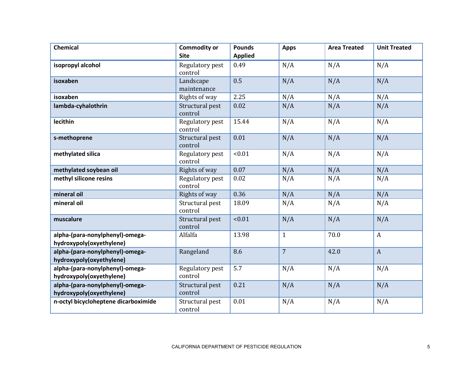| <b>Chemical</b>                                             | <b>Commodity or</b><br><b>Site</b> | <b>Pounds</b>  | <b>Apps</b>    | <b>Area Treated</b> | <b>Unit Treated</b> |
|-------------------------------------------------------------|------------------------------------|----------------|----------------|---------------------|---------------------|
|                                                             |                                    | <b>Applied</b> |                |                     |                     |
| isopropyl alcohol                                           | Regulatory pest<br>control         | 0.49           | N/A            | N/A                 | N/A                 |
| isoxaben                                                    | Landscape<br>maintenance           | 0.5            | N/A            | N/A                 | N/A                 |
| isoxaben                                                    | Rights of way                      | 2.25           | N/A            | N/A                 | N/A                 |
| lambda-cyhalothrin                                          | Structural pest<br>control         | 0.02           | N/A            | N/A                 | N/A                 |
| lecithin                                                    | Regulatory pest<br>control         | 15.44          | N/A            | N/A                 | N/A                 |
| s-methoprene                                                | Structural pest<br>control         | 0.01           | N/A            | N/A                 | N/A                 |
| methylated silica                                           | Regulatory pest<br>control         | < 0.01         | N/A            | N/A                 | N/A                 |
| methylated soybean oil                                      | Rights of way                      | 0.07           | N/A            | N/A                 | N/A                 |
| methyl silicone resins                                      | Regulatory pest<br>control         | 0.02           | N/A            | N/A                 | N/A                 |
| mineral oil                                                 | Rights of way                      | 0.36           | N/A            | N/A                 | N/A                 |
| mineral oil                                                 | Structural pest<br>control         | 18.09          | N/A            | N/A                 | N/A                 |
| muscalure                                                   | Structural pest<br>control         | < 0.01         | N/A            | N/A                 | N/A                 |
| alpha-(para-nonylphenyl)-omega-<br>hydroxypoly(oxyethylene) | Alfalfa                            | 13.98          | $\mathbf{1}$   | 70.0                | $\mathbf{A}$        |
| alpha-(para-nonylphenyl)-omega-<br>hydroxypoly(oxyethylene) | Rangeland                          | 8.6            | $\overline{7}$ | 42.0                | $\mathbf{A}$        |
| alpha-(para-nonylphenyl)-omega-<br>hydroxypoly(oxyethylene) | Regulatory pest<br>control         | 5.7            | N/A            | N/A                 | N/A                 |
| alpha-(para-nonylphenyl)-omega-<br>hydroxypoly(oxyethylene) | Structural pest<br>control         | 0.21           | N/A            | N/A                 | N/A                 |
| n-octyl bicycloheptene dicarboximide                        | Structural pest<br>control         | 0.01           | N/A            | N/A                 | N/A                 |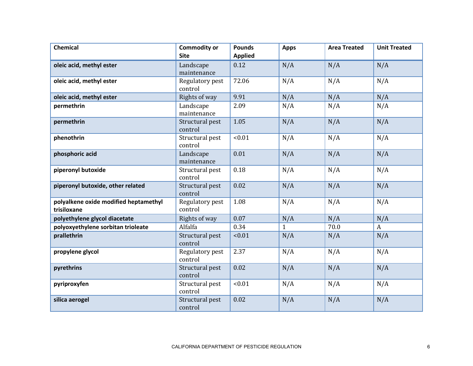| <b>Chemical</b>                                      | <b>Commodity or</b><br><b>Site</b> | <b>Pounds</b><br><b>Applied</b> | <b>Apps</b>  | <b>Area Treated</b> | <b>Unit Treated</b> |
|------------------------------------------------------|------------------------------------|---------------------------------|--------------|---------------------|---------------------|
| oleic acid, methyl ester                             | Landscape<br>maintenance           | 0.12                            | N/A          | N/A                 | N/A                 |
| oleic acid, methyl ester                             | Regulatory pest<br>control         | 72.06                           | N/A          | N/A                 | N/A                 |
| oleic acid, methyl ester                             | Rights of way                      | 9.91                            | N/A          | N/A                 | N/A                 |
| permethrin                                           | Landscape<br>maintenance           | 2.09                            | N/A          | N/A                 | N/A                 |
| permethrin                                           | Structural pest<br>control         | 1.05                            | N/A          | N/A                 | N/A                 |
| phenothrin                                           | Structural pest<br>control         | < 0.01                          | N/A          | N/A                 | N/A                 |
| phosphoric acid                                      | Landscape<br>maintenance           | 0.01                            | N/A          | N/A                 | N/A                 |
| piperonyl butoxide                                   | Structural pest<br>control         | 0.18                            | N/A          | N/A                 | N/A                 |
| piperonyl butoxide, other related                    | Structural pest<br>control         | 0.02                            | N/A          | N/A                 | N/A                 |
| polyalkene oxide modified heptamethyl<br>trisiloxane | Regulatory pest<br>control         | 1.08                            | N/A          | N/A                 | N/A                 |
| polyethylene glycol diacetate                        | Rights of way                      | 0.07                            | N/A          | N/A                 | N/A                 |
| polyoxyethylene sorbitan trioleate                   | Alfalfa                            | 0.34                            | $\mathbf{1}$ | 70.0                | $\mathbf{A}$        |
| prallethrin                                          | Structural pest<br>control         | 10.01                           | N/A          | N/A                 | N/A                 |
| propylene glycol                                     | Regulatory pest<br>control         | 2.37                            | N/A          | N/A                 | N/A                 |
| pyrethrins                                           | Structural pest<br>control         | 0.02                            | N/A          | N/A                 | N/A                 |
| pyriproxyfen                                         | Structural pest<br>control         | < 0.01                          | N/A          | N/A                 | N/A                 |
| silica aerogel                                       | Structural pest<br>control         | 0.02                            | N/A          | N/A                 | N/A                 |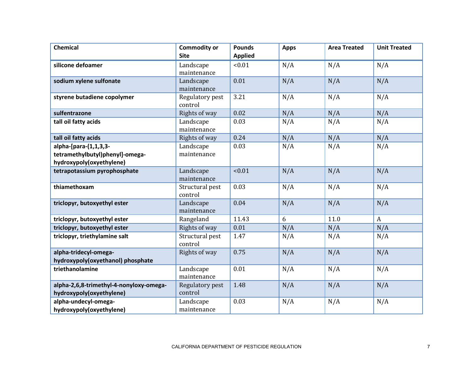| <b>Chemical</b>                                                     | <b>Commodity or</b>        | <b>Pounds</b>  | <b>Apps</b> | <b>Area Treated</b> | <b>Unit Treated</b> |
|---------------------------------------------------------------------|----------------------------|----------------|-------------|---------------------|---------------------|
|                                                                     | <b>Site</b>                | <b>Applied</b> |             |                     |                     |
| silicone defoamer                                                   | Landscape<br>maintenance   | < 0.01         | N/A         | N/A                 | N/A                 |
| sodium xylene sulfonate                                             | Landscape<br>maintenance   | 0.01           | N/A         | N/A                 | N/A                 |
| styrene butadiene copolymer                                         | Regulatory pest<br>control | 3.21           | N/A         | N/A                 | N/A                 |
| sulfentrazone                                                       | Rights of way              | 0.02           | N/A         | N/A                 | N/A                 |
| tall oil fatty acids                                                | Landscape<br>maintenance   | 0.03           | N/A         | N/A                 | N/A                 |
| tall oil fatty acids                                                | Rights of way              | 0.24           | N/A         | N/A                 | N/A                 |
| alpha-[para-(1,1,3,3-                                               | Landscape                  | 0.03           | N/A         | N/A                 | N/A                 |
| tetramethylbutyl)phenyl]-omega-                                     | maintenance                |                |             |                     |                     |
| hydroxypoly(oxyethylene)                                            |                            |                |             |                     |                     |
| tetrapotassium pyrophosphate                                        | Landscape<br>maintenance   | < 0.01         | N/A         | N/A                 | N/A                 |
| thiamethoxam                                                        | Structural pest<br>control | 0.03           | N/A         | N/A                 | N/A                 |
| triclopyr, butoxyethyl ester                                        | Landscape<br>maintenance   | 0.04           | N/A         | N/A                 | N/A                 |
| triclopyr, butoxyethyl ester                                        | Rangeland                  | 11.43          | 6           | 11.0                | $\mathbf{A}$        |
| triclopyr, butoxyethyl ester                                        | Rights of way              | 0.01           | N/A         | N/A                 | N/A                 |
| triclopyr, triethylamine salt                                       | Structural pest<br>control | 1.47           | N/A         | N/A                 | N/A                 |
| alpha-tridecyl-omega-<br>hydroxypoly(oxyethanol) phosphate          | Rights of way              | 0.75           | N/A         | N/A                 | N/A                 |
| triethanolamine                                                     | Landscape<br>maintenance   | 0.01           | N/A         | N/A                 | N/A                 |
| alpha-2,6,8-trimethyl-4-nonyloxy-omega-<br>hydroxypoly(oxyethylene) | Regulatory pest<br>control | 1.48           | N/A         | N/A                 | N/A                 |
| alpha-undecyl-omega-<br>hydroxypoly(oxyethylene)                    | Landscape<br>maintenance   | 0.03           | N/A         | N/A                 | N/A                 |